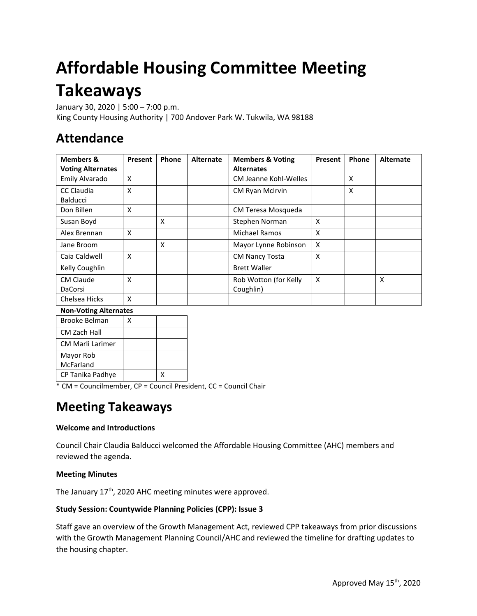# **Affordable Housing Committee Meeting Takeaways**

January 30, 2020 | 5:00 – 7:00 p.m. King County Housing Authority | 700 Andover Park W. Tukwila, WA 98188

# **Attendance**

| <b>Members &amp;</b><br><b>Voting Alternates</b> | Present                   | Phone | <b>Alternate</b> | <b>Members &amp; Voting</b><br><b>Alternates</b> | Present | Phone | <b>Alternate</b> |
|--------------------------------------------------|---------------------------|-------|------------------|--------------------------------------------------|---------|-------|------------------|
| Emily Alvarado                                   | $\boldsymbol{\mathsf{x}}$ |       |                  | CM Jeanne Kohl-Welles                            |         | X     |                  |
| <b>CC Claudia</b><br>Balducci                    | $\times$                  |       |                  | CM Ryan McIrvin                                  |         | X     |                  |
| Don Billen                                       | X                         |       |                  | CM Teresa Mosqueda                               |         |       |                  |
| Susan Boyd                                       |                           | X     |                  | Stephen Norman                                   | X       |       |                  |
| Alex Brennan                                     | X                         |       |                  | <b>Michael Ramos</b>                             | X       |       |                  |
| Jane Broom                                       |                           | X     |                  | Mayor Lynne Robinson                             | X       |       |                  |
| Caia Caldwell                                    | $\boldsymbol{\mathsf{x}}$ |       |                  | <b>CM Nancy Tosta</b>                            | X       |       |                  |
| Kelly Coughlin                                   |                           |       |                  | <b>Brett Waller</b>                              |         |       |                  |
| <b>CM Claude</b><br><b>DaCorsi</b>               | X                         |       |                  | Rob Wotton (for Kelly<br>Coughlin)               | X       |       | X                |
| Chelsea Hicks                                    | $\boldsymbol{\mathsf{x}}$ |       |                  |                                                  |         |       |                  |

#### **Non-Voting Alternates**

| <b>Brooke Belman</b> | Χ |  |
|----------------------|---|--|
| CM Zach Hall         |   |  |
| CM Marli Larimer     |   |  |
| Mayor Rob            |   |  |
| McFarland            |   |  |
| CP Tanika Padhye     |   |  |

\* CM = Councilmember, CP = Council President, CC = Council Chair

# **Meeting Takeaways**

## **Welcome and Introductions**

Council Chair Claudia Balducci welcomed the Affordable Housing Committee (AHC) members and reviewed the agenda.

#### **Meeting Minutes**

The January 17<sup>th</sup>, 2020 AHC meeting minutes were approved.

#### **Study Session: Countywide Planning Policies (CPP): Issue 3**

Staff gave an overview of the Growth Management Act, reviewed CPP takeaways from prior discussions with the Growth Management Planning Council/AHC and reviewed the timeline for drafting updates to the housing chapter.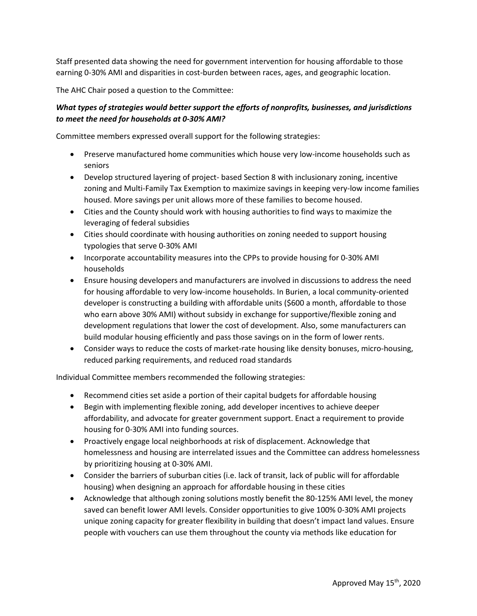Staff presented data showing the need for government intervention for housing affordable to those earning 0-30% AMI and disparities in cost-burden between races, ages, and geographic location.

The AHC Chair posed a question to the Committee:

### *What types of strategies would better support the efforts of nonprofits, businesses, and jurisdictions to meet the need for households at 0-30% AMI?*

Committee members expressed overall support for the following strategies:

- Preserve manufactured home communities which house very low-income households such as seniors
- Develop structured layering of project- based Section 8 with inclusionary zoning, incentive zoning and Multi-Family Tax Exemption to maximize savings in keeping very-low income families housed. More savings per unit allows more of these families to become housed.
- Cities and the County should work with housing authorities to find ways to maximize the leveraging of federal subsidies
- Cities should coordinate with housing authorities on zoning needed to support housing typologies that serve 0-30% AMI
- Incorporate accountability measures into the CPPs to provide housing for 0-30% AMI households
- Ensure housing developers and manufacturers are involved in discussions to address the need for housing affordable to very low-income households. In Burien, a local community-oriented developer is constructing a building with affordable units (\$600 a month, affordable to those who earn above 30% AMI) without subsidy in exchange for supportive/flexible zoning and development regulations that lower the cost of development. Also, some manufacturers can build modular housing efficiently and pass those savings on in the form of lower rents.
- Consider ways to reduce the costs of market-rate housing like density bonuses, micro-housing, reduced parking requirements, and reduced road standards

Individual Committee members recommended the following strategies:

- Recommend cities set aside a portion of their capital budgets for affordable housing
- Begin with implementing flexible zoning, add developer incentives to achieve deeper affordability, and advocate for greater government support. Enact a requirement to provide housing for 0-30% AMI into funding sources.
- Proactively engage local neighborhoods at risk of displacement. Acknowledge that homelessness and housing are interrelated issues and the Committee can address homelessness by prioritizing housing at 0-30% AMI.
- Consider the barriers of suburban cities (i.e. lack of transit, lack of public will for affordable housing) when designing an approach for affordable housing in these cities
- Acknowledge that although zoning solutions mostly benefit the 80-125% AMI level, the money saved can benefit lower AMI levels. Consider opportunities to give 100% 0-30% AMI projects unique zoning capacity for greater flexibility in building that doesn't impact land values. Ensure people with vouchers can use them throughout the county via methods like education for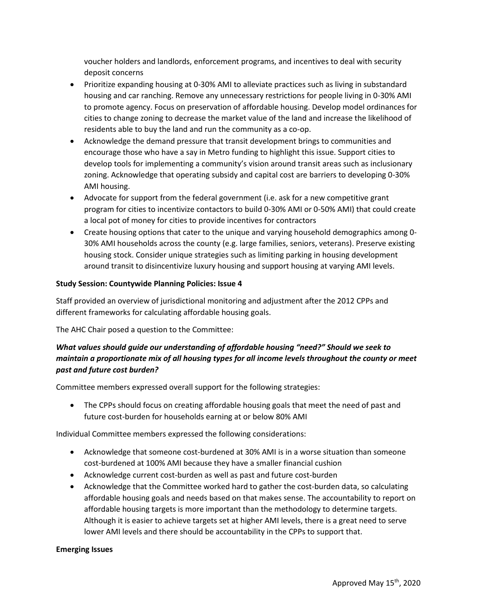voucher holders and landlords, enforcement programs, and incentives to deal with security deposit concerns

- Prioritize expanding housing at 0-30% AMI to alleviate practices such as living in substandard housing and car ranching. Remove any unnecessary restrictions for people living in 0-30% AMI to promote agency. Focus on preservation of affordable housing. Develop model ordinances for cities to change zoning to decrease the market value of the land and increase the likelihood of residents able to buy the land and run the community as a co-op.
- Acknowledge the demand pressure that transit development brings to communities and encourage those who have a say in Metro funding to highlight this issue. Support cities to develop tools for implementing a community's vision around transit areas such as inclusionary zoning. Acknowledge that operating subsidy and capital cost are barriers to developing 0-30% AMI housing.
- Advocate for support from the federal government (i.e. ask for a new competitive grant program for cities to incentivize contactors to build 0-30% AMI or 0-50% AMI) that could create a local pot of money for cities to provide incentives for contractors
- Create housing options that cater to the unique and varying household demographics among 0- 30% AMI households across the county (e.g. large families, seniors, veterans). Preserve existing housing stock. Consider unique strategies such as limiting parking in housing development around transit to disincentivize luxury housing and support housing at varying AMI levels.

#### **Study Session: Countywide Planning Policies: Issue 4**

Staff provided an overview of jurisdictional monitoring and adjustment after the 2012 CPPs and different frameworks for calculating affordable housing goals.

The AHC Chair posed a question to the Committee:

## *What values should guide our understanding of affordable housing "need?" Should we seek to maintain a proportionate mix of all housing types for all income levels throughout the county or meet past and future cost burden?*

Committee members expressed overall support for the following strategies:

• The CPPs should focus on creating affordable housing goals that meet the need of past and future cost-burden for households earning at or below 80% AMI

Individual Committee members expressed the following considerations:

- Acknowledge that someone cost-burdened at 30% AMI is in a worse situation than someone cost-burdened at 100% AMI because they have a smaller financial cushion
- Acknowledge current cost-burden as well as past and future cost-burden
- Acknowledge that the Committee worked hard to gather the cost-burden data, so calculating affordable housing goals and needs based on that makes sense. The accountability to report on affordable housing targets is more important than the methodology to determine targets. Although it is easier to achieve targets set at higher AMI levels, there is a great need to serve lower AMI levels and there should be accountability in the CPPs to support that.

#### **Emerging Issues**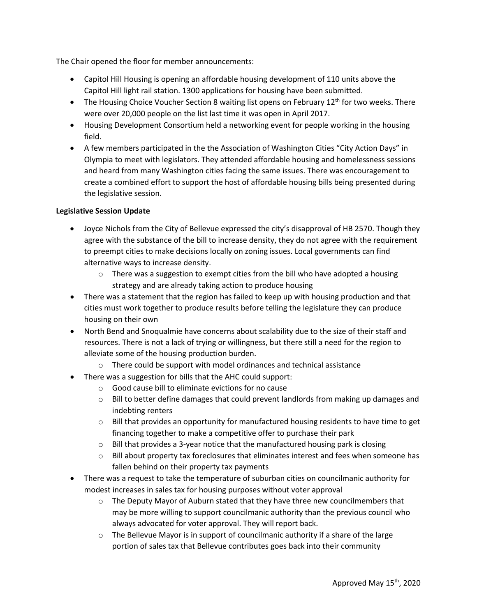The Chair opened the floor for member announcements:

- Capitol Hill Housing is opening an affordable housing development of 110 units above the Capitol Hill light rail station. 1300 applications for housing have been submitted.
- The Housing Choice Voucher Section 8 waiting list opens on February 12<sup>th</sup> for two weeks. There were over 20,000 people on the list last time it was open in April 2017.
- Housing Development Consortium held a networking event for people working in the housing field.
- A few members participated in the the Association of Washington Cities "City Action Days" in Olympia to meet with legislators. They attended affordable housing and homelessness sessions and heard from many Washington cities facing the same issues. There was encouragement to create a combined effort to support the host of affordable housing bills being presented during the legislative session.

#### **Legislative Session Update**

- Joyce Nichols from the City of Bellevue expressed the city's disapproval of HB 2570. Though they agree with the substance of the bill to increase density, they do not agree with the requirement to preempt cities to make decisions locally on zoning issues. Local governments can find alternative ways to increase density.
	- $\circ$  There was a suggestion to exempt cities from the bill who have adopted a housing strategy and are already taking action to produce housing
- There was a statement that the region has failed to keep up with housing production and that cities must work together to produce results before telling the legislature they can produce housing on their own
- North Bend and Snoqualmie have concerns about scalability due to the size of their staff and resources. There is not a lack of trying or willingness, but there still a need for the region to alleviate some of the housing production burden.
	- o There could be support with model ordinances and technical assistance
- There was a suggestion for bills that the AHC could support:
	- o Good cause bill to eliminate evictions for no cause
	- $\circ$  Bill to better define damages that could prevent landlords from making up damages and indebting renters
	- $\circ$  Bill that provides an opportunity for manufactured housing residents to have time to get financing together to make a competitive offer to purchase their park
	- o Bill that provides a 3-year notice that the manufactured housing park is closing
	- o Bill about property tax foreclosures that eliminates interest and fees when someone has fallen behind on their property tax payments
- There was a request to take the temperature of suburban cities on councilmanic authority for modest increases in sales tax for housing purposes without voter approval
	- $\circ$  The Deputy Mayor of Auburn stated that they have three new councilmembers that may be more willing to support councilmanic authority than the previous council who always advocated for voter approval. They will report back.
	- $\circ$  The Bellevue Mayor is in support of councilmanic authority if a share of the large portion of sales tax that Bellevue contributes goes back into their community